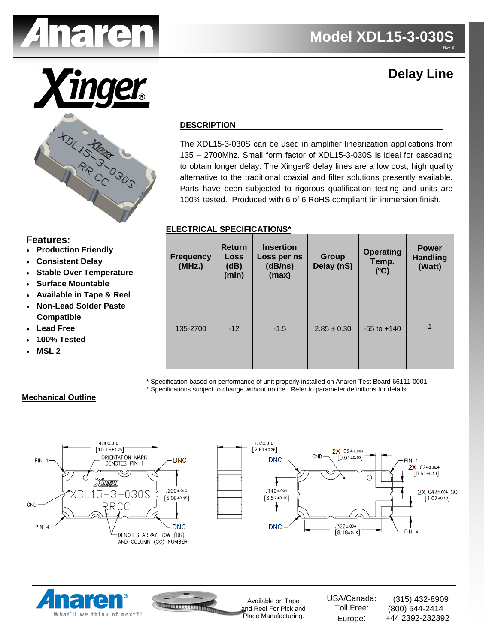

**HDL15 Finge C** 

# **Delay Line**

#### **DESCRIPTION**

The XDL15-3-030S can be used in amplifier linearization applications from 135 – 2700Mhz. Small form factor of XDL15-3-030S is ideal for cascading to obtain longer delay. The Xinger® delay lines are a low cost, high quality alternative to the traditional coaxial and filter solutions presently available. Parts have been subjected to rigorous qualification testing and units are 100% tested. Produced with 6 of 6 RoHS compliant tin immersion finish.

#### **ELECTRICAL SPECIFICATIONS\***

| n Friendly<br><b>Delay</b><br>r Temperature<br>puntable<br>n Tape & Reel | <b>Frequency</b><br>(MHz.) | <b>Return</b><br><b>Loss</b><br>(dB)<br>(min) | <b>Insertion</b><br>Loss per ns<br>(dB/ns)<br>(max) | <b>Group</b><br>Delay (nS) | <b>Operating</b><br>Temp.<br>(C) | <b>Power</b><br><b>Handling</b><br>(Watt) |
|--------------------------------------------------------------------------|----------------------------|-----------------------------------------------|-----------------------------------------------------|----------------------------|----------------------------------|-------------------------------------------|
| <b>Solder Paste</b><br>е<br>ed                                           | 135-2700                   | $-12$                                         | $-1.5$                                              | $2.85 \pm 0.30$            | $-55$ to $+140$                  | $\mathbf{1}$                              |

\* Specification based on performance of unit properly installed on Anaren Test Board 66111-0001.

\* Specifications subject to change without notice. Refer to parameter definitions for details.

#### **Mechanical Outline**







Available on Tape and Reel For Pick and Place Manufacturing.

USA/Canada: Toll Free: Europe: (315) 432-8909 (800) 544-2414 +44 2392-232392

# **Features:**

- **Production**
- **Consistent**
- **Stable Ove**
- **Surface Mo**
- **Available in**
- **Non-Lead Compatible**
- **Lead Free**
- **100% Teste**
- **MSL 2**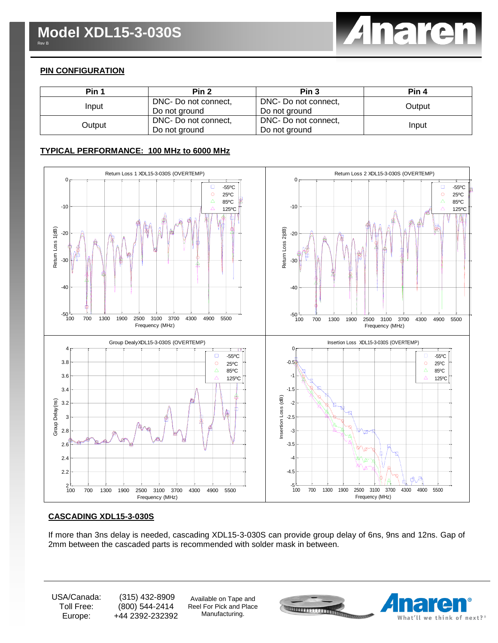

## **PIN CONFIGURATION**

| Pin 1  | Pin <sub>2</sub>     | Pin <sub>3</sub>     | Pin 4  |  |
|--------|----------------------|----------------------|--------|--|
| Input  | DNC- Do not connect, | DNC- Do not connect, | Output |  |
|        | Do not ground        | Do not ground        |        |  |
| Output | DNC- Do not connect, | DNC- Do not connect, | Input  |  |
|        | Do not ground        | Do not ground        |        |  |

### **TYPICAL PERFORMANCE: 100 MHz to 6000 MHz**



#### **CASCADING XDL15-3-030S**

If more than 3ns delay is needed, cascading XDL15-3-030S can provide group delay of 6ns, 9ns and 12ns. Gap of 2mm between the cascaded parts is recommended with solder mask in between.

USA/Canada: Toll Free: Europe:

(315) 432-8909 (800) 544-2414 +44 2392-232392

Available on Tape and Reel For Pick and Place Manufacturing.

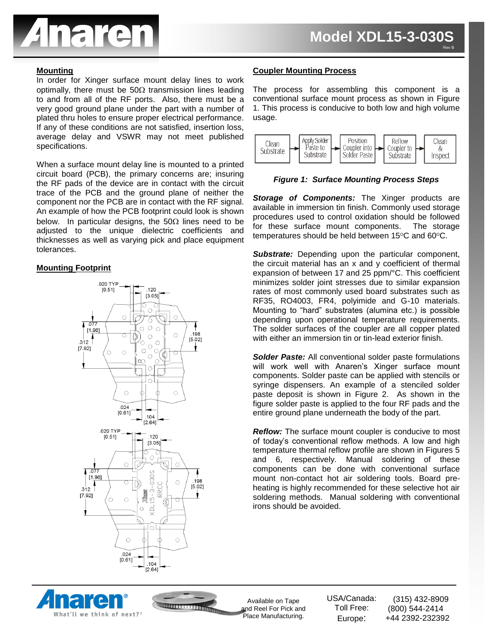

In order for Xinger surface mount delay lines to work optimally, there must be 50 $\Omega$  transmission lines leading to and from all of the RF ports. Also, there must be a very good ground plane under the part with a number of plated thru holes to ensure proper electrical performance. If any of these conditions are not satisfied, insertion loss, average delay and VSWR may not meet published specifications.

When a surface mount delay line is mounted to a printed circuit board (PCB), the primary concerns are; insuring the RF pads of the device are in contact with the circuit trace of the PCB and the ground plane of neither the component nor the PCB are in contact with the RF signal. An example of how the PCB footprint could look is shown below. In particular designs, the  $50\Omega$  lines need to be adjusted to the unique dielectric coefficients and thicknesses as well as varying pick and place equipment tolerances.

#### **Mounting Footprint**



#### **Mounting Process Access** Provident Coupler Mounting Process Process Access Providence Process Access Providence Access Provident Access Access Provident Access Provident Access Provident Access Provident Access Provident

The process for assembling this component is a conventional surface mount process as shown in Figure 1. This process is conducive to both low and high volume usage.



*Figure 1: Surface Mounting Process Steps*

**Storage of Components:** The Xinger products are available in immersion tin finish. Commonly used storage procedures used to control oxidation should be followed for these surface mount components. The storage temperatures should be held between  $15^{\circ}$ C and  $60^{\circ}$ C.

*Substrate:* Depending upon the particular component, the circuit material has an x and y coefficient of thermal expansion of between 17 and 25 ppm/°C. This coefficient minimizes solder joint stresses due to similar expansion rates of most commonly used board substrates such as RF35, RO4003, FR4, polyimide and G-10 materials. Mounting to "hard" substrates (alumina etc.) is possible depending upon operational temperature requirements. The solder surfaces of the coupler are all copper plated with either an immersion tin or tin-lead exterior finish.

*Solder Paste:* All conventional solder paste formulations will work well with Anaren's Xinger surface mount components. Solder paste can be applied with stencils or syringe dispensers. An example of a stenciled solder paste deposit is shown in Figure 2. As shown in the figure solder paste is applied to the four RF pads and the entire ground plane underneath the body of the part.

*Reflow:* The surface mount coupler is conducive to most of today's conventional reflow methods. A low and high temperature thermal reflow profile are shown in Figures 5 and 6, respectively. Manual soldering of these components can be done with conventional surface mount non-contact hot air soldering tools. Board preheating is highly recommended for these selective hot air soldering methods. Manual soldering with conventional irons should be avoided.





Available on Tape and Reel For Pick and Place Manufacturing.

USA/Canada: Toll Free: Europe: (315) 432-8909 (800) 544-2414 +44 2392-232392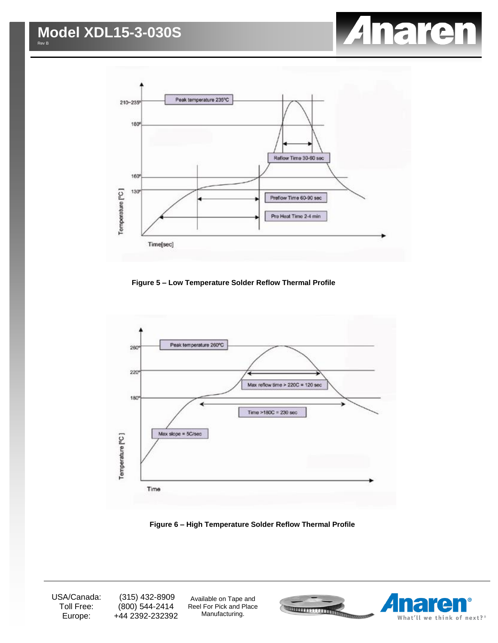



**Figure 5 – Low Temperature Solder Reflow Thermal Profile**



**Figure 6 – High Temperature Solder Reflow Thermal Profile**

USA/Canada: Toll Free: Europe:

(315) 432-8909 (800) 544-2414 +44 2392-232392

Available on Tape and Reel For Pick and Place Manufacturing.

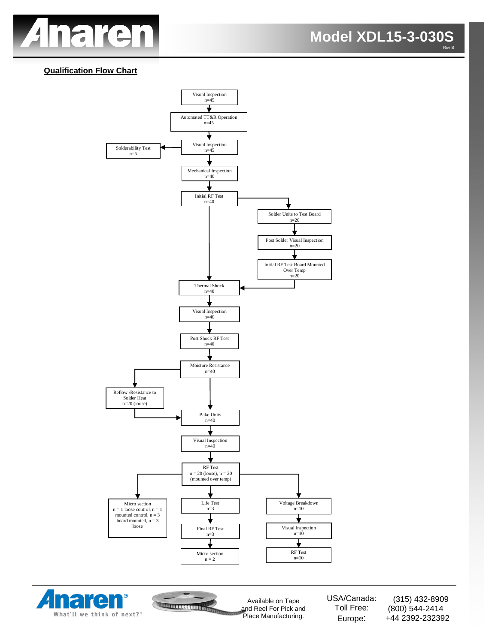

## **Qualification Flow Chart**







Available on Tape and Reel For Pick and Place Manufacturing.

USA/Canada: Toll Free: Europe:

(315) 432-8909 (800) 544-2414 +44 2392-232392